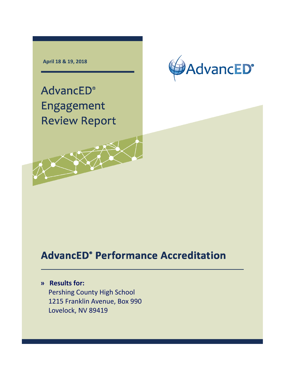**April 18 & 19, 2018**



**AdvancED®** Engagement **Review Report** 

# **AdvancED° Performance Accreditation**

# **» Results for:**

Pershing County High School 1215 Franklin Avenue, Box 990 Lovelock, NV 89419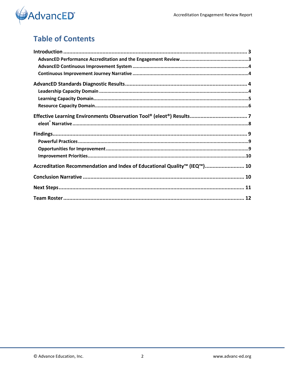

# **Table of Contents**

| Accreditation Recommendation and Index of Educational Quality™ (IEQ™) 10 |  |
|--------------------------------------------------------------------------|--|
|                                                                          |  |
|                                                                          |  |
|                                                                          |  |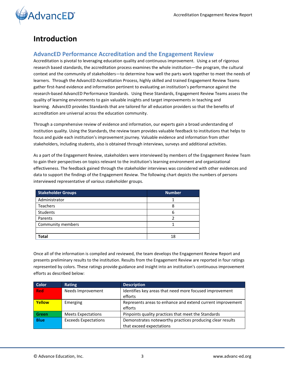

### <span id="page-2-0"></span>**Introduction**

#### <span id="page-2-1"></span>**AdvancED Performance Accreditation and the Engagement Review**

Accreditation is pivotal to leveraging education quality and continuous improvement. Using a set of rigorous research based standards, the accreditation process examines the whole institution—the program, the cultural context and the community of stakeholders—to determine how well the parts work together to meet the needs of learners. Through the AdvancED Accreditation Process, highly skilled and trained Engagement Review Teams gather first-hand evidence and information pertinent to evaluating an institution's performance against the research-based AdvancED Performance Standards. Using these Standards, Engagement Review Teams assess the quality of learning environments to gain valuable insights and target improvements in teaching and learning. AdvancED provides Standards that are tailored for all education providers so that the benefits of accreditation are universal across the education community.

Through a comprehensive review of evidence and information, our experts gain a broad understanding of institution quality. Using the Standards, the review team provides valuable feedback to institutions that helps to focus and guide each institution's improvement journey. Valuable evidence and information from other stakeholders, including students, also is obtained through interviews, surveys and additional activities.

As a part of the Engagement Review, stakeholders were interviewed by members of the Engagement Review Team to gain their perspectives on topics relevant to the institution's learning environment and organizational effectiveness. The feedback gained through the stakeholder interviews was considered with other evidences and data to support the findings of the Engagement Review. The following chart depicts the numbers of persons interviewed representative of various stakeholder groups.

| <b>Stakeholder Groups</b> | <b>Number</b> |
|---------------------------|---------------|
| Administrator             |               |
| Teachers                  | 8             |
| Students                  | ь             |
| Parents                   |               |
| Community members         |               |
|                           |               |
| Total                     | 18            |

Once all of the information is compiled and reviewed, the team develops the Engagement Review Report and presents preliminary results to the institution. Results from the Engagement Review are reported in four ratings represented by colors. These ratings provide guidance and insight into an institution's continuous improvement efforts as described below:

| <b>Color</b> | Rating                      | <b>Description</b>                                         |
|--------------|-----------------------------|------------------------------------------------------------|
| <b>Red</b>   | Needs Improvement           | Identifies key areas that need more focused improvement    |
|              |                             | efforts                                                    |
| Yellow       | Emerging                    | Represents areas to enhance and extend current improvement |
|              |                             | efforts                                                    |
| Green        | <b>Meets Expectations</b>   | Pinpoints quality practices that meet the Standards        |
| <b>Blue</b>  | <b>Exceeds Expectations</b> | Demonstrates noteworthy practices producing clear results  |
|              |                             | that exceed expectations                                   |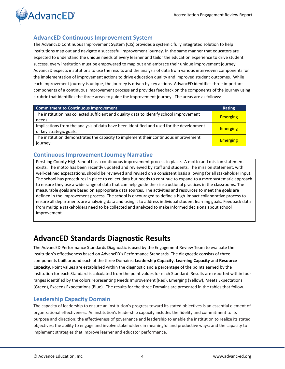

### <span id="page-3-0"></span>**AdvancED Continuous Improvement System**

The AdvancED Continuous Improvement System (CIS) provides a systemic fully integrated solution to help institutions map out and navigate a successful improvement journey. In the same manner that educators are expected to understand the unique needs of every learner and tailor the education experience to drive student success, every institution must be empowered to map out and embrace their unique improvement journey. AdvancED expects institutions to use the results and the analysis of data from various interwoven components for the implementation of improvement actions to drive education quality and improved student outcomes. While each improvement journey is unique, the journey is driven by key actions. AdvancED identifies three important components of a continuous improvement process and provides feedback on the components of the journey using a rubric that identifies the three areas to guide the improvement journey. The areas are as follows:

| <b>Commitment to Continuous Improvement</b>                                                                         | Rating          |
|---------------------------------------------------------------------------------------------------------------------|-----------------|
| The institution has collected sufficient and quality data to identify school improvement<br>needs.                  | <b>Emerging</b> |
| Implications from the analysis of data have been identified and used for the development<br>of key strategic goals. | <b>Emerging</b> |
| The institution demonstrates the capacity to implement their continuous improvement<br>journey.                     | <b>Emerging</b> |

### <span id="page-3-1"></span>**Continuous Improvement Journey Narrative**

Pershing County High School has a continuous improvement process in place. A motto and mission statement exists. The motto has been recently updated and reviewed by staff and students. The mission statement, with well-defined expectations, should be reviewed and revised on a consistent basis allowing for all stakeholder input. The school has procedures in place to collect data but needs to continue to expand to a more systematic approach to ensure they use a wide range of data that can help guide their instructional practices in the classrooms. The measurable goals are based on appropriate data sources. The activities and resources to meet the goals are defined in the improvement process. The school is encouraged to define a high-impact collaborative process to ensure all departments are analyzing data and using it to address individual student learning goals. Feedback data from multiple stakeholders need to be collected and analyzed to make informed decisions about school improvement.

# <span id="page-3-2"></span>**AdvancED Standards Diagnostic Results**

The AdvancED Performance Standards Diagnostic is used by the Engagement Review Team to evaluate the institution's effectiveness based on AdvancED's Performance Standards. The diagnostic consists of three components built around each of the three Domains: **Leadership Capacity**, **Learning Capacity** and **Resource Capacity**. Point values are established within the diagnostic and a percentage of the points earned by the institution for each Standard is calculated from the point values for each Standard. Results are reported within four ranges identified by the colors representing Needs Improvement (Red), Emerging (Yellow), Meets Expectations (Green), Exceeds Expectations (Blue). The results for the three Domains are presented in the tables that follow.

### <span id="page-3-3"></span>**Leadership Capacity Domain**

The capacity of leadership to ensure an institution's progress toward its stated objectives is an essential element of organizational effectiveness. An institution's leadership capacity includes the fidelity and commitment to its purpose and direction; the effectiveness of governance and leadership to enable the institution to realize its stated objectives; the ability to engage and involve stakeholders in meaningful and productive ways; and the capacity to implement strategies that improve learner and educator performance.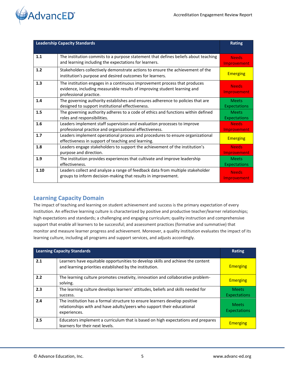

|      | <b>Leadership Capacity Standards</b>                                                                                                                                            | Rating                              |
|------|---------------------------------------------------------------------------------------------------------------------------------------------------------------------------------|-------------------------------------|
| 1.1  | The institution commits to a purpose statement that defines beliefs about teaching<br>and learning including the expectations for learners.                                     | <b>Needs</b><br>Improvement         |
| 1.2  | Stakeholders collectively demonstrate actions to ensure the achievement of the<br>institution's purpose and desired outcomes for learners.                                      | <b>Emerging</b>                     |
| 1.3  | The institution engages in a continuous improvement process that produces<br>evidence, including measurable results of improving student learning and<br>professional practice. | <b>Needs</b><br>Improvement         |
| 1.4  | The governing authority establishes and ensures adherence to policies that are<br>designed to support institutional effectiveness.                                              | <b>Meets</b><br><b>Expectations</b> |
| 1.5  | The governing authority adheres to a code of ethics and functions within defined<br>roles and responsibilities.                                                                 | <b>Meets</b><br><b>Expectations</b> |
| 1.6  | Leaders implement staff supervision and evaluation processes to improve<br>professional practice and organizational effectiveness.                                              | <b>Needs</b><br>Improvement         |
| 1.7  | Leaders implement operational process and procedures to ensure organizational<br>effectiveness in support of teaching and learning.                                             | <b>Emerging</b>                     |
| 1.8  | Leaders engage stakeholders to support the achievement of the institution's<br>purpose and direction.                                                                           | <b>Needs</b><br>Improvement         |
| 1.9  | The institution provides experiences that cultivate and improve leadership<br>effectiveness.                                                                                    | <b>Meets</b><br><b>Expectations</b> |
| 1.10 | Leaders collect and analyze a range of feedback data from multiple stakeholder<br>groups to inform decision-making that results in improvement.                                 | <b>Needs</b><br>Improvement         |

### <span id="page-4-0"></span>**Learning Capacity Domain**

The impact of teaching and learning on student achievement and success is the primary expectation of every institution. An effective learning culture is characterized by positive and productive teacher/learner relationships; high expectations and standards; a challenging and engaging curriculum; quality instruction and comprehensive support that enable all learners to be successful; and assessment practices (formative and summative) that monitor and measure learner progress and achievement. Moreover, a quality institution evaluates the impact of its learning culture, including all programs and support services, and adjusts accordingly.

| <b>Learning Capacity Standards</b> |                                                                                                                                                                      | Rating                              |
|------------------------------------|----------------------------------------------------------------------------------------------------------------------------------------------------------------------|-------------------------------------|
| 2.1                                | Learners have equitable opportunities to develop skills and achieve the content<br>and learning priorities established by the institution.                           | <b>Emerging</b>                     |
| 2.2                                | The learning culture promotes creativity, innovation and collaborative problem-<br>solving.                                                                          | <b>Emerging</b>                     |
| 2.3                                | The learning culture develops learners' attitudes, beliefs and skills needed for<br>success.                                                                         | <b>Meets</b><br><b>Expectations</b> |
| 2.4                                | The institution has a formal structure to ensure learners develop positive<br>relationships with and have adults/peers who support their educational<br>experiences. | <b>Meets</b><br>Expectations        |
| 2.5                                | Educators implement a curriculum that is based on high expectations and prepares<br>learners for their next levels.                                                  | <b>Emerging</b>                     |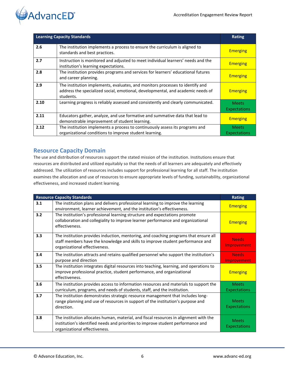

| <b>Learning Capacity Standards</b> |                                                                                                                                                                               | <b>Rating</b>                       |
|------------------------------------|-------------------------------------------------------------------------------------------------------------------------------------------------------------------------------|-------------------------------------|
| 2.6                                | The institution implements a process to ensure the curriculum is aligned to<br>standards and best practices.                                                                  | <b>Emerging</b>                     |
| 2.7                                | Instruction is monitored and adjusted to meet individual learners' needs and the<br>institution's learning expectations.                                                      | <b>Emerging</b>                     |
| 2.8                                | The institution provides programs and services for learners' educational futures<br>and career planning.                                                                      | <b>Emerging</b>                     |
| 2.9                                | The institution implements, evaluates, and monitors processes to identify and<br>address the specialized social, emotional, developmental, and academic needs of<br>students. | <b>Emerging</b>                     |
| 2.10                               | Learning progress is reliably assessed and consistently and clearly communicated.                                                                                             | <b>Meets</b><br><b>Expectations</b> |
| 2.11                               | Educators gather, analyze, and use formative and summative data that lead to<br>demonstrable improvement of student learning.                                                 | <b>Emerging</b>                     |
| 2.12                               | The institution implements a process to continuously assess its programs and<br>organizational conditions to improve student learning.                                        | <b>Meets</b><br><b>Expectations</b> |

### <span id="page-5-0"></span>**Resource Capacity Domain**

The use and distribution of resources support the stated mission of the institution. Institutions ensure that resources are distributed and utilized equitably so that the needs of all learners are adequately and effectively addressed. The utilization of resources includes support for professional learning for all staff. The institution examines the allocation and use of resources to ensure appropriate levels of funding, sustainability, organizational effectiveness, and increased student learning.

|     | <b>Resource Capacity Standards</b>                                                                                                                                                                         | <b>Rating</b>                       |
|-----|------------------------------------------------------------------------------------------------------------------------------------------------------------------------------------------------------------|-------------------------------------|
| 3.1 | The institution plans and delivers professional learning to improve the learning<br>environment, learner achievement, and the institution's effectiveness.                                                 | <b>Emerging</b>                     |
| 3.2 | The institution's professional learning structure and expectations promote<br>collaboration and collegiality to improve learner performance and organizational<br>effectiveness.                           | <b>Emerging</b>                     |
| 3.3 | The institution provides induction, mentoring, and coaching programs that ensure all<br>staff members have the knowledge and skills to improve student performance and<br>organizational effectiveness.    | <b>Needs</b><br>Improvement         |
| 3.4 | The institution attracts and retains qualified personnel who support the institution's<br>purpose and direction                                                                                            | <b>Needs</b><br>Improvement         |
| 3.5 | The institution integrates digital resources into teaching, learning, and operations to<br>improve professional practice, student performance, and organizational<br>effectiveness.                        | <b>Emerging</b>                     |
| 3.6 | The institution provides access to information resources and materials to support the<br>curriculum, programs, and needs of students, staff, and the institution.                                          | <b>Meets</b><br><b>Expectations</b> |
| 3.7 | The institution demonstrates strategic resource management that includes long-<br>range planning and use of resources in support of the institution's purpose and<br>direction.                            | <b>Meets</b><br><b>Expectations</b> |
| 3.8 | The institution allocates human, material, and fiscal resources in alignment with the<br>institution's identified needs and priorities to improve student performance and<br>organizational effectiveness. | <b>Meets</b><br><b>Expectations</b> |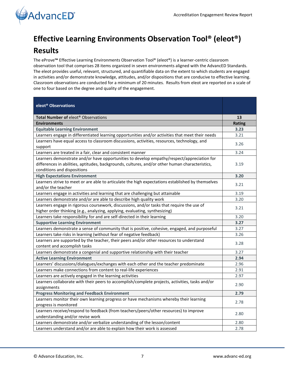

# <span id="page-6-0"></span>**Effective Learning Environments Observation Tool® (eleot®)**

# **Results**

The eProve**™** Effective Learning Environments Observation Tool® (eleot®) is a learner-centric classroom observation tool that comprises 28 items organized in seven environments aligned with the AdvancED Standards. The eleot provides useful, relevant, structured, and quantifiable data on the extent to which students are engaged in activities and/or demonstrate knowledge, attitudes, and/or dispositions that are conducive to effective learning. Classroom observations are conducted for a minimum of 20 minutes. Results from eleot are reported on a scale of one to four based on the degree and quality of the engagement.

| eleot <sup>®</sup> Observations                                                                                                                                                                                              |               |
|------------------------------------------------------------------------------------------------------------------------------------------------------------------------------------------------------------------------------|---------------|
| Total Number of eleot <sup>®</sup> Observations                                                                                                                                                                              | 13            |
| <b>Environments</b>                                                                                                                                                                                                          | <b>Rating</b> |
| <b>Equitable Learning Environment</b>                                                                                                                                                                                        | 3.23          |
| Learners engage in differentiated learning opportunities and/or activities that meet their needs                                                                                                                             | 3.21          |
| Learners have equal access to classroom discussions, activities, resources, technology, and<br>support                                                                                                                       | 3.26          |
| Learners are treated in a fair, clear and consistent manner                                                                                                                                                                  | 3.24          |
| Learners demonstrate and/or have opportunities to develop empathy/respect/appreciation for<br>differences in abilities, aptitudes, backgrounds, cultures, and/or other human characteristics,<br>conditions and dispositions | 3.19          |
| <b>High Expectations Environment</b>                                                                                                                                                                                         | 3.20          |
| Learners strive to meet or are able to articulate the high expectations established by themselves<br>and/or the teacher                                                                                                      | 3.21          |
| Learners engage in activities and learning that are challenging but attainable                                                                                                                                               | 3.19          |
| Learners demonstrate and/or are able to describe high quality work                                                                                                                                                           | 3.20          |
| Learners engage in rigorous coursework, discussions, and/or tasks that require the use of<br>higher order thinking (e.g., analyzing, applying, evaluating, synthesizing)                                                     | 3.21          |
| Learners take responsibility for and are self-directed in their learning                                                                                                                                                     | 3.20          |
| <b>Supportive Learning Environment</b>                                                                                                                                                                                       | 3.27          |
| Learners demonstrate a sense of community that is positive, cohesive, engaged, and purposeful                                                                                                                                | 3.27          |
| Learners take risks in learning (without fear of negative feedback)                                                                                                                                                          | 3.26          |
| Learners are supported by the teacher, their peers and/or other resources to understand<br>content and accomplish tasks                                                                                                      | 3.28          |
| Learners demonstrate a congenial and supportive relationship with their teacher                                                                                                                                              | 3.27          |
| <b>Active Learning Environment</b>                                                                                                                                                                                           | 2.94          |
| Learners' discussions/dialogues/exchanges with each other and the teacher predominate                                                                                                                                        | 2.96          |
| Learners make connections from content to real-life experiences                                                                                                                                                              | 2.91          |
| Learners are actively engaged in the learning activities                                                                                                                                                                     | 2.97          |
| Learners collaborate with their peers to accomplish/complete projects, activities, tasks and/or                                                                                                                              | 2.90          |
| assignments                                                                                                                                                                                                                  |               |
| <b>Progress Monitoring and Feedback Environment</b>                                                                                                                                                                          | 2.79          |
| Learners monitor their own learning progress or have mechanisms whereby their learning<br>progress is monitored                                                                                                              | 2.78          |
| Learners receive/respond to feedback (from teachers/peers/other resources) to improve<br>understanding and/or revise work                                                                                                    | 2.80          |
| Learners demonstrate and/or verbalize understanding of the lesson/content                                                                                                                                                    | 2.80          |
| Learners understand and/or are able to explain how their work is assessed                                                                                                                                                    | 2.78          |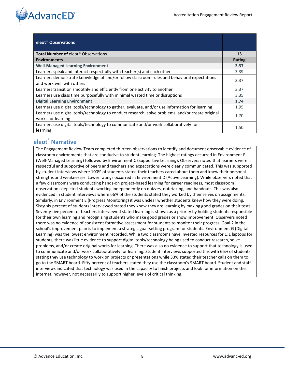

| eleot <sup>®</sup> Observations                                                                                          |        |
|--------------------------------------------------------------------------------------------------------------------------|--------|
| <b>Total Number of elect<sup>®</sup> Observations</b>                                                                    | 13     |
| <b>Environments</b>                                                                                                      | Rating |
| <b>Well-Managed Learning Environment</b>                                                                                 | 3.37   |
| Learners speak and interact respectfully with teacher(s) and each other                                                  | 3.39   |
| Learners demonstrate knowledge of and/or follow classroom rules and behavioral expectations<br>and work well with others | 3.37   |
| Learners transition smoothly and efficiently from one activity to another                                                | 3.37   |
| Learners use class time purposefully with minimal wasted time or disruptions                                             | 3.35   |
| <b>Digital Learning Environment</b>                                                                                      | 1.74   |
| Learners use digital tools/technology to gather, evaluate, and/or use information for learning                           | 1.95   |
| Learners use digital tools/technology to conduct research, solve problems, and/or create original<br>works for learning  | 1.70   |
| Learners use digital tools/technology to communicate and/or work collaboratively for<br>learning                         | 1.50   |

### <span id="page-7-0"></span>**eleot® Narrative**

The Engagement Review Team completed thirteen observations to identify and document observable evidence of classroom environments that are conducive to student learning. The highest ratings occurred in Environment F (Well-Managed Learning) followed by Environment C (Supportive Learning). Observers noted that learners were respectful and supportive of peers and teachers and expectations were clearly communicated. This was supported by student interviews where 100% of students stated their teachers cared about them and knew their personal strengths and weaknesses. Lower ratings occurred in Environment D (Active Learning). While observers noted that a few classrooms were conducting hands-on project-based learning for career readiness, most classroom observations depicted students working independently on quizzes, notetaking, and handouts. This was also evidenced in student interviews where 66% of the students stated they worked by themselves on assignments. Similarly, in Environment E (Progress Monitoring) it was unclear whether students knew how they were doing. Sixty-six percent of students interviewed stated they know they are learning by making good grades on their tests. Seventy-five percent of teachers interviewed stated learning is shown as a priority by holding students responsible for their own learning and recognizing students who make good grades or show improvement. Observers noted there was no evidence of consistent formative assessment for students to monitor their progress. Goal 2 in the school's improvement plan is to implement a strategic goal-setting program for students. Environment G (Digital Learning) was the lowest environment recorded. While two classrooms have invested resources for 1:1 laptops for students, there was little evidence to support digital tools/technology being used to conduct research, solve problems, and/or create original works for learning. There was also no evidence to support that technology is used to communicate and/or work collaboratively for learning. Student interviews supported this with 66% of students stating they use technology to work on projects or presentations while 33% stated their teacher calls on them to go to the SMART board. Fifty percent of teachers stated they use the classroom's SMART board. Student and staff interviews indicated that technology was used in the capacity to finish projects and look for information on the internet, however, not necessarily to support higher levels of critical thinking.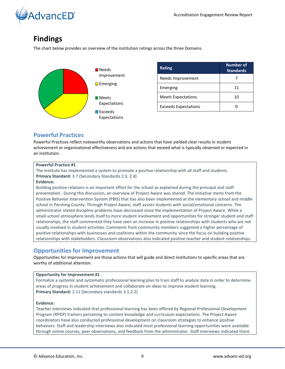

# <span id="page-8-0"></span>**Findings**

The chart below provides an overview of the institution ratings across the three Domains.



| <b>Rating</b>               | <b>Number of</b><br><b>Standards</b> |
|-----------------------------|--------------------------------------|
| Needs Improvement           |                                      |
| Emerging                    | 11                                   |
| <b>Meets Expectations</b>   | 10                                   |
| <b>Exceeds Expectations</b> |                                      |

### <span id="page-8-1"></span>**Powerful Practices**

Powerful Practices reflect noteworthy observations and actions that have yielded clear results in student achievement or organizational effectiveness and are actions that exceed what is typically observed or expected in an institution.

#### **Powerful Practice #1**

The institute has implemented a system to promote a positive relationship with all staff and students. **Primary Standard:** 3.7 (Secondary Standards 2.3, 2.4)

#### **Evidence:**

Building positive relations is an important effort for the school as explained during the principal and staff presentation. During this discussion, an overview of Project Aware was shared. The initiative stems from the Positive Behavior Intervention System (PBIS) that has also been implemented at the elementary school and middle school in Pershing County. Through Project Aware, staff assists students with social/emotional concerns. The administrator stated discipline problems have decreased since the implementation of Project Aware. While a small-school atmosphere lends itself to more student involvement and opportunities for stronger student and staff relationships, the staff commented they have seen an increase in positive relationships with students who are not usually involved in student activities. Comments from community members suggested a higher percentage of positive relationships with businesses and coalitions within the community since the focus on building positive relationships with stakeholders. Classroom observations also indicated positive teacher and student relationships.

### <span id="page-8-2"></span>**Opportunities for Improvement**

Opportunities for Improvement are those actions that will guide and direct institutions to specific areas that are worthy of additional attention.

#### **Opportunity for Improvement #1**

Formalize a systemic and systematic professional learning plan to train staff to analyze data in order to determine areas of progress in student achievement and collaborate on ideas to improve student learning. **Primary Standard:** 2.11 (Secondary standards 3.1,3.2)

#### **Evidence:**

Teacher interviews indicated that professional learning has been offered by Regional Professional Development Program (RPDP) trainers pertaining to content knowledge and curriculum expectations. The Project Aware coordinators have also conducted professional development on classroom strategies to enhance positive behaviors. Staff and leadership interviews also indicated most professional learning opportunities were available through online courses, peer observations, and feedback from the administrator. Staff interviews indicated there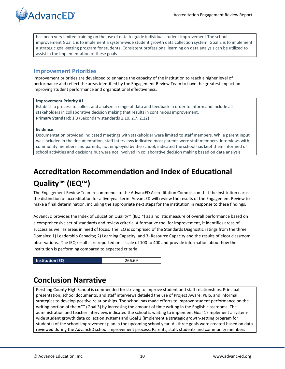

has been very limited training on the use of data to guide individual student improvement The school improvement Goal 1 is to implement a system-wide student growth data collection system. Goal 2 is to implement a strategic goal-setting program for students. Consistent professional learning on data analysis can be utilized to assist in the implementation of these goals.

#### <span id="page-9-0"></span>**Improvement Priorities**

Improvement priorities are developed to enhance the capacity of the institution to reach a higher level of performance and reflect the areas identified by the Engagement Review Team to have the greatest impact on improving student performance and organizational effectiveness.

#### **Improvement Priority #1**

Establish a process to collect and analyze a range of data and feedback in order to inform and include all stakeholders in collaborative decision making that results in continuous improvement. **Primary Standard:** 1.3 (Secondary standards 1.10, 2.7, 2.12)

#### **Evidence:**

Documentation provided indicated meetings with stakeholder were limited to staff members. While parent input was included in the documentation, staff interviews indicated most parents were staff members. Interviews with community members and parents, not employed by the school, indicated the school has kept them informed of school activities and decisions but were not involved in collaborative decision making based on data analysis.

# <span id="page-9-1"></span>**Accreditation Recommendation and Index of Educational Quality™ (IEQ™)**

The Engagement Review Team recommends to the AdvancED Accreditation Commission that the institution earns the distinction of accreditation for a five-year term. AdvancED will review the results of the Engagement Review to make a final determination, including the appropriate next steps for the institution in response to these findings.

AdvancED provides the Index of Education Quality™ (IEQ™) as a holistic measure of overall performance based on a comprehensive set of standards and review criteria. A formative tool for improvement, it identifies areas of success as well as areas in need of focus. The IEQ is comprised of the Standards Diagnostic ratings from the three Domains: 1) Leadership Capacity; 2) Learning Capacity, and 3) Resource Capacity and the results of eleot classroom observations. The IEQ results are reported on a scale of 100 to 400 and provide information about how the institution is performing compared to expected criteria.

<span id="page-9-2"></span>**Institution IEQ** 266.69

# **Conclusion Narrative**

Pershing County High School is commended for striving to improve student and staff relationships. Principal presentation, school documents, and staff interviews detailed the use of Project Aware, PBIS, and informal strategies to develop positive relationships. The school has made efforts to improve student performance on the writing portion of the ACT (Goal 3) by increasing the amount of time writing in the English classrooms. The administration and teacher interviews indicated the school is waiting to implement Goal 1 (implement a systemwide student growth data collection system) and Goal 2 (implement a strategic growth-setting program for students) of the school improvement plan in the upcoming school year. All three goals were created based on data reviewed during the AdvancED school improvement process. Parents, staff, students and community members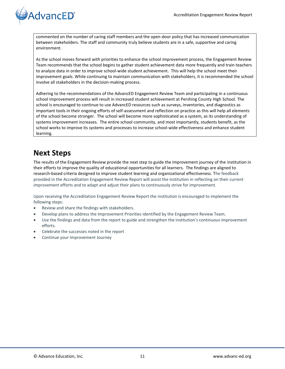# **AdvancED**<sup>®</sup>

commented on the number of caring staff members and the open-door policy that has increased communication between stakeholders. The staff and community truly believe students are in a safe, supportive and caring environment.

As the school moves forward with priorities to enhance the school improvement process, the Engagement Review Team recommends that the school begins to gather student achievement data more frequently and train teachers to analyze data in order to improve school-wide student achievement. This will help the school meet their improvement goals. While continuing to maintain communication with stakeholders, it is recommended the school involve all stakeholders in the decision-making process.

Adhering to the recommendations of the AdvancED Engagement Review Team and participating in a continuous school improvement process will result in increased student achievement at Pershing County High School. The school is encouraged to continue to use AdvancED resources such as surveys, inventories, and diagnostics as important tools in their ongoing efforts of self-assessment and reflection on practice as this will help all elements of the school become stronger. The school will become more sophisticated as a system, as its understanding of systems improvement increases. The entire school community, and most importantly, students benefit, as the school works to improve its systems and processes to increase school-wide effectiveness and enhance student learning.

# <span id="page-10-0"></span>**Next Steps**

The results of the Engagement Review provide the next step to guide the improvement journey of the institution in their efforts to improve the quality of educational opportunities for all learners. The findings are aligned to research-based criteria designed to improve student learning and organizational effectiveness. The feedback provided in the Accreditation Engagement Review Report will assist the institution in reflecting on their current improvement efforts and to adapt and adjust their plans to continuously strive for improvement.

Upon receiving the Accreditation Engagement Review Report the institution is encouraged to implement the following steps:

- Review and share the findings with stakeholders.
- Develop plans to address the Improvement Priorities identified by the Engagement Review Team.
- Use the findings and data from the report to guide and strengthen the institution's continuous improvement efforts.
- Celebrate the successes noted in the report
- Continue your Improvement Journey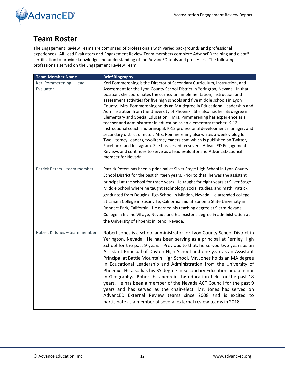



### <span id="page-11-0"></span>**Team Roster**

The Engagement Review Teams are comprised of professionals with varied backgrounds and professional experiences. All Lead Evaluators and Engagement Review Team members complete AdvancED training and eleot® certification to provide knowledge and understanding of the AdvancED tools and processes. The following professionals served on the Engagement Review Team:

| <b>Team Member Name</b>              | <b>Brief Biography</b>                                                                                                                                                                                                                                                                                                                                                                                                                                                                                                                                                                                                                                                                                                                                                                                                                                                                                                                                                                                                                                          |
|--------------------------------------|-----------------------------------------------------------------------------------------------------------------------------------------------------------------------------------------------------------------------------------------------------------------------------------------------------------------------------------------------------------------------------------------------------------------------------------------------------------------------------------------------------------------------------------------------------------------------------------------------------------------------------------------------------------------------------------------------------------------------------------------------------------------------------------------------------------------------------------------------------------------------------------------------------------------------------------------------------------------------------------------------------------------------------------------------------------------|
| Keri Pommerening - Lead<br>Evaluator | Keri Pommerening is the Director of Secondary Curriculum, Instruction, and<br>Assessment for the Lyon County School District in Yerington, Nevada. In that<br>position, she coordinates the curriculum implementation, instruction and<br>assessment activities for five high schools and five middle schools in Lyon<br>County. Mrs. Pommerening holds an MA degree in Educational Leadership and<br>Administration from the University of Phoenix. She also has her BS degree in<br>Elementary and Special Education. Mrs. Pommerening has experience as a<br>teacher and administrator in education as an elementary teacher, K-12<br>instructional coach and principal, K-12 professional development manager, and<br>secondary district director. Mrs. Pommerening also writes a weekly blog for<br>Two Literacy Leaders, twoliteracyleaders.com which is published on Twitter,<br>Facebook, and Instagram. She has served on several AdvancED Engagement<br>Reviews and continues to serve as a lead evaluator and AdvancED council<br>member for Nevada. |
| Patrick Peters - team member         | Patrick Peters has been a principal at Silver Stage High School in Lyon County<br>School District for the past thirteen years. Prior to that, he was the assistant<br>principal at the school for three years. He taught for eight years at Silver Stage<br>Middle School where he taught technology, social studies, and math. Patrick<br>graduated from Douglas High School in Minden, Nevada. He attended college<br>at Lassen College in Susanville, California and at Sonoma State University in<br>Rohnert Park, California. He earned his teaching degree at Sierra Nevada<br>College in Incline Village, Nevada and his master's degree in administration at<br>the University of Phoenix in Reno, Nevada.                                                                                                                                                                                                                                                                                                                                              |
| Robert K. Jones - team member        | Robert Jones is a school administrator for Lyon County School District in<br>Yerington, Nevada. He has been serving as a principal at Fernley High<br>School for the past 9 years. Previous to that, he served two years as an<br>Assistant Principal of Dayton High School and one year as an Assistant<br>Principal at Battle Mountain High School. Mr. Jones holds an MA degree<br>in Educational Leadership and Administration from the University of<br>Phoenix. He also has his BS degree in Secondary Education and a minor<br>in Geography. Robert has been in the education field for the past 18<br>years. He has been a member of the Nevada ACT Council for the past 9<br>years and has served as the chair-elect. Mr. Jones has served on<br>AdvancED External Review teams since 2008 and is excited to<br>participate as a member of several external review teams in 2018.                                                                                                                                                                      |